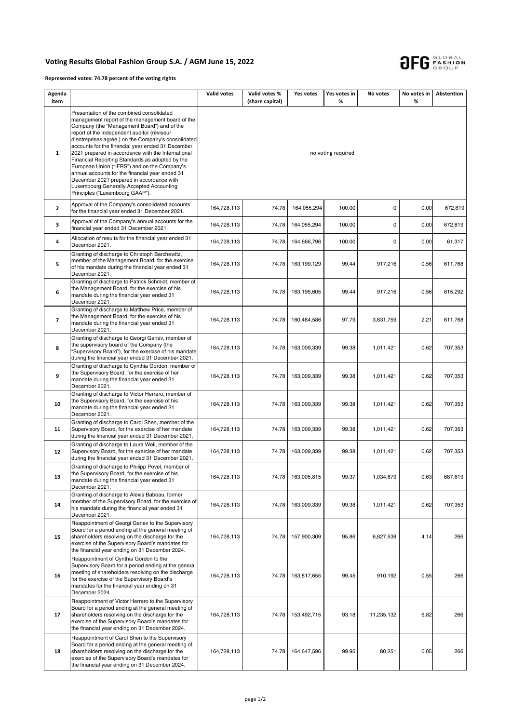## **Voting Results Global Fashion Group S.A. / AGM June 15, 2022**



**Represented votes: 74.78 percent of the voting rights**

| Agenda<br>item           |                                                                                                                                                                                                                                                                                                                                                                                                                                                                                                                                                                                                                                                | Valid votes        | Valid votes %<br>(share capital) | Yes votes   | Yes votes in<br>% | No votes    | No votes in<br>% | Abstention |  |  |  |
|--------------------------|------------------------------------------------------------------------------------------------------------------------------------------------------------------------------------------------------------------------------------------------------------------------------------------------------------------------------------------------------------------------------------------------------------------------------------------------------------------------------------------------------------------------------------------------------------------------------------------------------------------------------------------------|--------------------|----------------------------------|-------------|-------------------|-------------|------------------|------------|--|--|--|
| $\mathbf{1}$             | Presentation of the combined consolidated<br>management report of the management board of the<br>Company (the "Management Board") and of the<br>report of the independent auditor (réviseur<br>d'entreprises agréé) on the Company's consolidated<br>accounts for the financial year ended 31 December<br>2021 prepared in accordance with the International<br>Financial Reporting Standards as adopted by the<br>European Union ("IFRS") and on the Company's<br>annual accounts for the financial year ended 31<br>December 2021 prepared in accordance with<br>Luxembourg Generally Accepted Accounting<br>Principles ("Luxembourg GAAP"). | no voting required |                                  |             |                   |             |                  |            |  |  |  |
| $\mathbf{2}$             | Approval of the Company's consolidated accounts<br>for the financial year ended 31 December 2021.                                                                                                                                                                                                                                                                                                                                                                                                                                                                                                                                              | 164,728,113        | 74.78                            | 164,055,294 | 100.00            | $\mathsf 0$ | 0.00             | 672,819    |  |  |  |
| 3                        | Approval of the Company's annual accounts for the<br>financial year ended 31 December 2021.                                                                                                                                                                                                                                                                                                                                                                                                                                                                                                                                                    | 164,728,113        | 74.78                            | 164,055,294 | 100.00            | 0           | 0.00             | 672,819    |  |  |  |
| 4                        | Allocation of results for the financial year ended 31<br>December 2021.                                                                                                                                                                                                                                                                                                                                                                                                                                                                                                                                                                        | 164,728,113        | 74.78                            | 164,666,796 | 100.00            | 0           | 0.00             | 61,317     |  |  |  |
| 5                        | Granting of discharge to Christoph Barchewitz,<br>member of the Management Board, for the exercise<br>of his mandate during the financial year ended 31<br>December 2021.                                                                                                                                                                                                                                                                                                                                                                                                                                                                      | 164,728,113        | 74.78                            | 163,199,129 | 99.44             | 917,216     | 0.56             | 611,768    |  |  |  |
| 6                        | Granting of discharge to Patrick Schmidt, member of<br>the Management Board, for the exercise of his<br>mandate during the financial year ended 31<br>December 2021.                                                                                                                                                                                                                                                                                                                                                                                                                                                                           | 164,728,113        | 74.78                            | 163,195,605 | 99.44             | 917,216     | 0.56             | 615,292    |  |  |  |
| $\overline{\phantom{a}}$ | Granting of discharge to Matthew Price, member of<br>the Management Board, for the exercise of his<br>mandate during the financial year ended 31<br>December 2021.                                                                                                                                                                                                                                                                                                                                                                                                                                                                             | 164,728,113        | 74.78                            | 160,484,586 | 97.79             | 3,631,759   | 2.21             | 611,768    |  |  |  |
| 8                        | Granting of discharge to Georgi Ganev, member of<br>the supervisory board of the Company (the<br>"Supervisory Board"), for the exercise of his mandate<br>during the financial year ended 31 December 2021.                                                                                                                                                                                                                                                                                                                                                                                                                                    | 164,728,113        | 74.78                            | 163,009,339 | 99.38             | 1,011,421   | 0.62             | 707,353    |  |  |  |
| 9                        | Granting of discharge to Cynthia Gordon, member of<br>the Supervisory Board, for the exercise of her<br>mandate during the financial year ended 31<br>December 2021.                                                                                                                                                                                                                                                                                                                                                                                                                                                                           | 164,728,113        | 74.78                            | 163,009,339 | 99.38             | 1,011,421   | 0.62             | 707,353    |  |  |  |
| 10                       | Granting of discharge to Victor Herrero, member of<br>the Supervisory Board, for the exercise of his<br>mandate during the financial year ended 31<br>December 2021.                                                                                                                                                                                                                                                                                                                                                                                                                                                                           | 164,728,113        | 74.78                            | 163,009,339 | 99.38             | 1,011,421   | 0.62             | 707,353    |  |  |  |
| 11                       | Granting of discharge to Carol Shen, member of the<br>Supervisory Board, for the exercise of her mandate<br>during the financial year ended 31 December 2021.                                                                                                                                                                                                                                                                                                                                                                                                                                                                                  | 164,728,113        | 74.78                            | 163,009,339 | 99.38             | 1,011,421   | 0.62             | 707,353    |  |  |  |
| 12                       | Granting of discharge to Laura Weil, member of the<br>Supervisory Board, for the exercise of her mandate<br>during the financial year ended 31 December 2021.                                                                                                                                                                                                                                                                                                                                                                                                                                                                                  | 164,728,113        | 74.78                            | 163,009,339 | 99.38             | 1,011,421   | 0.62             | 707,353    |  |  |  |
| 13                       | Granting of discharge to Philipp Povel, member of<br>the Supervisory Board, for the exercise of his<br>mandate during the financial year ended 31<br>December 2021.                                                                                                                                                                                                                                                                                                                                                                                                                                                                            | 164,728,113        | 74.78                            | 163,005,815 | 99.37             | 1,034,679   | 0.63             | 687,619    |  |  |  |
| 14                       | Granting of discharge to Alexis Babeau, former<br>member of the Supervisory Board, for the exercise of<br>his mandate during the financial year ended 31<br>December 2021.                                                                                                                                                                                                                                                                                                                                                                                                                                                                     | 164,728,113        | 74.78                            | 163,009,339 | 99.38             | 1,011,421   | 0.62             | 707,353    |  |  |  |
| 15                       | Reappointment of Georgi Ganev to the Supervisory<br>Board for a period ending at the general meeting of<br>shareholders resolving on the discharge for the<br>exercise of the Supervisory Board's mandates for<br>the financial year ending on 31 December 2024.                                                                                                                                                                                                                                                                                                                                                                               | 164,728,113        | 74.78                            | 157,900,309 | 95.86             | 6,827,538   | 4.14             | 266        |  |  |  |
| 16                       | Reappointment of Cynthia Gordon to the<br>Supervisory Board for a period ending at the general<br>meeting of shareholders resolving on the discharge<br>for the exercise of the Supervisory Board's<br>mandates for the financial year ending on 31<br>December 2024.                                                                                                                                                                                                                                                                                                                                                                          | 164,728,113        | 74.78                            | 163,817,655 | 99.45             | 910,192     | 0.55             | 266        |  |  |  |
| 17                       | Reappointment of Victor Herrero to the Supervisory<br>Board for a period ending at the general meeting of<br>shareholders resolving on the discharge for the<br>exercise of the Supervisory Board's mandates for<br>the financial year ending on 31 December 2024.                                                                                                                                                                                                                                                                                                                                                                             | 164,728,113        | 74.78                            | 153,492,715 | 93.18             | 11,235,132  | 6.82             | 266        |  |  |  |
| 18                       | Reappointment of Carol Shen to the Supervisory<br>Board for a period ending at the general meeting of<br>shareholders resolving on the discharge for the<br>exercise of the Supervisory Board's mandates for<br>the financial year ending on 31 December 2024.                                                                                                                                                                                                                                                                                                                                                                                 | 164,728,113        | 74.78                            | 164,647,596 | 99.95             | 80,251      | 0.05             | 266        |  |  |  |